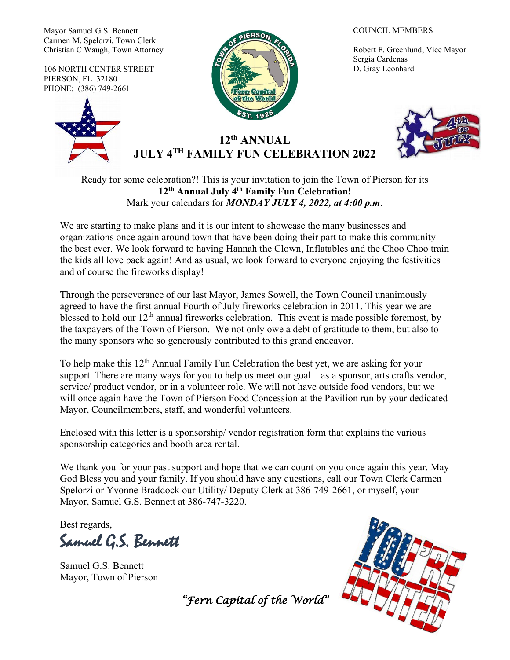Mayor Samuel G.S. Bennett Carmen M. Spelorzi, Town Clerk Christian C Waugh, Town Attorney

106 NORTH CENTER STREET PIERSON, FL 32180 PHONE: (386) 749-2661





#### COUNCIL MEMBERS

Robert F. Greenlund, Vice Mayor Sergia Cardenas D. Gray Leonhard



# **12th ANNUAL JULY 4TH FAMILY FUN CELEBRATION 2022**

Ready for some celebration?! This is your invitation to join the Town of Pierson for its **12th Annual July 4th Family Fun Celebration!**  Mark your calendars for *MONDAY JULY 4, 2022, at 4:00 p.m*.

We are starting to make plans and it is our intent to showcase the many businesses and organizations once again around town that have been doing their part to make this community the best ever. We look forward to having Hannah the Clown, Inflatables and the Choo Choo train the kids all love back again! And as usual, we look forward to everyone enjoying the festivities and of course the fireworks display!

Through the perseverance of our last Mayor, James Sowell, the Town Council unanimously agreed to have the first annual Fourth of July fireworks celebration in 2011. This year we are blessed to hold our 12<sup>th</sup> annual fireworks celebration. This event is made possible foremost, by the taxpayers of the Town of Pierson. We not only owe a debt of gratitude to them, but also to the many sponsors who so generously contributed to this grand endeavor.

To help make this 12<sup>th</sup> Annual Family Fun Celebration the best yet, we are asking for your support. There are many ways for you to help us meet our goal—as a sponsor, arts crafts vendor, service/ product vendor, or in a volunteer role. We will not have outside food vendors, but we will once again have the Town of Pierson Food Concession at the Pavilion run by your dedicated Mayor, Councilmembers, staff, and wonderful volunteers.

Enclosed with this letter is a sponsorship/ vendor registration form that explains the various sponsorship categories and booth area rental.

We thank you for your past support and hope that we can count on you once again this year. May God Bless you and your family. If you should have any questions, call our Town Clerk Carmen Spelorzi or Yvonne Braddock our Utility/ Deputy Clerk at 386-749-2661, or myself, your Mayor, Samuel G.S. Bennett at 386-747-3220.

Best regards,

Samuel G.S. Bennett

Samuel G.S. Bennett Mayor, Town of Pierson



*"Fern Capital of the World"*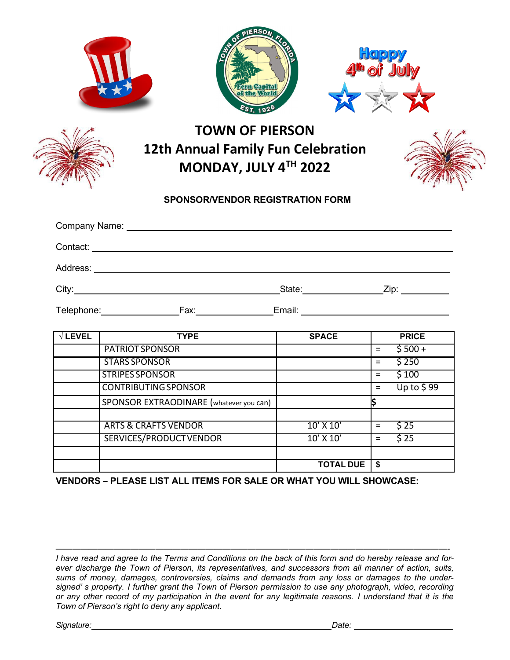|                  |                                                            | <b>JERSON</b><br>the World                                                                   |                        |     |                         |
|------------------|------------------------------------------------------------|----------------------------------------------------------------------------------------------|------------------------|-----|-------------------------|
|                  |                                                            | <b>TOWN OF PIERSON</b><br><b>12th Annual Family Fun Celebration</b><br>MONDAY, JULY 4TH 2022 |                        |     |                         |
|                  |                                                            | <b>SPONSOR/VENDOR REGISTRATION FORM</b>                                                      |                        |     |                         |
|                  | Company Name: University of the Company Name:              |                                                                                              |                        |     |                         |
|                  |                                                            |                                                                                              |                        |     |                         |
|                  |                                                            |                                                                                              |                        |     |                         |
|                  |                                                            |                                                                                              |                        |     |                         |
|                  |                                                            |                                                                                              |                        |     |                         |
|                  |                                                            |                                                                                              |                        |     |                         |
| $\sqrt{T}$ LEVEL | <b>TYPE</b><br><b>PATRIOT SPONSOR</b>                      |                                                                                              | <b>SPACE</b>           | $=$ | <b>PRICE</b><br>$$500+$ |
|                  | <b>STARS SPONSOR</b>                                       |                                                                                              |                        | $=$ | \$250                   |
|                  | <b>STRIPES SPONSOR</b>                                     |                                                                                              |                        | $=$ | \$100                   |
|                  | <b>CONTRIBUTING SPONSOR</b>                                |                                                                                              |                        | $=$ | Up to $$99$             |
|                  | SPONSOR EXTRAODINARE (whatever you can)                    |                                                                                              |                        | ļ\$ |                         |
|                  |                                                            |                                                                                              |                        |     |                         |
|                  |                                                            |                                                                                              |                        | $=$ |                         |
|                  | <b>ARTS &amp; CRAFTS VENDOR</b><br>SERVICES/PRODUCT VENDOR |                                                                                              | 10' X 10'<br>10' X 10' | $=$ | \$25<br>\$25            |
|                  |                                                            |                                                                                              | <b>TOTAL DUE</b>       | \$  |                         |

*———————————————————————————————————————————————-*

*I have read and agree to the Terms and Conditions on the back of this form and do hereby release and forever discharge the Town of Pierson, its representatives, and successors from all manner of action, suits, sums of money, damages, controversies, claims and demands from any loss or damages to the undersigned' s property. I further grant the Town of Pierson permission to use any photograph, video, recording* or any other record of my participation in the event for any legitimate reasons. I understand that it is the *Town of Pierson's right to deny any applicant.*